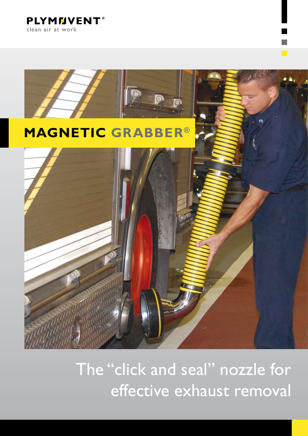**PLYMMVENT®** clean air at work



The "click and seal" nozzle for effective exhaust removal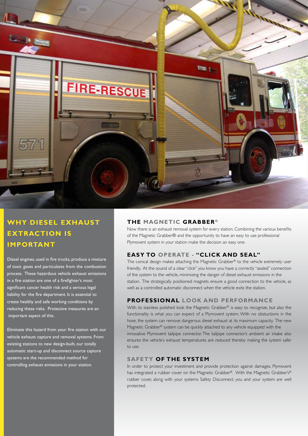

## **WHY Diesel exhaust extraction IS IMPORTANT**

Diesel engines, used in fire trucks, produce a mixture of toxic gases and particulates from the combustion process. These hazardous vehicle exhaust emissions in a fire station are one of a firefighter's most significant cancer health risk and a serious legal liability for the fire department. It is essential to create healthy and safe working conditions by reducing these risks. Protective measures are an important aspect of this.

Eliminate this hazard from your fire station with our vehicle exhaust capture and removal systems. From existing stations to new design-built, our totally automatic start-up and disconnect source capture systems are the recommended method for controlling exhaust emissions in your station.

## **the magnetic grabber** ®

Now there is an exhaust removal system for every station. Combining the various benefits of the Magnetic Grabber® and the opportunity to have an easy to use professional Plymovent system in your station make the decision an easy one.

## **Easy to operate - "Click and Seal"**

The conical design makes attaching the Magnetic Grabber® to the vehicle extremely user friendly. At the sound of a clear "click" you know you have a correctly "sealed" connection of the system to the vehicle, minimizing the danger of diesel exhaust emissions in the station. The strategically positioned magnets ensure a good connection to the vehicle, as well as a controlled automatic disconnect when the vehicle exits the station.

#### **Professional Look and performance**

With its stainless polished look the Magnetic Grabber® is easy to recognize, but also the functionality is what you can expect of a Plymovent system. With no obstuctions in the hose, the system can remove dangerous diesel exhaust at its maximum capacity. The new Magnetic Grabber® system can be quickly attached to any vehicle equipped with the innovative Plymovent tailpipe connector. The tailpipe connector's ambient air intake also ensures the vehicle's exhaust temperatures are reduced thereby making the system safer to use.

#### **safety of the System**

In order to protect your investment and provide protection against damages, Plymovent has integrated a rubber cover on the Magnetic Grabber®. With the Magnetic Grabber's® rubber cover, along with your systems Safety Disconnect, you and your system are well protected.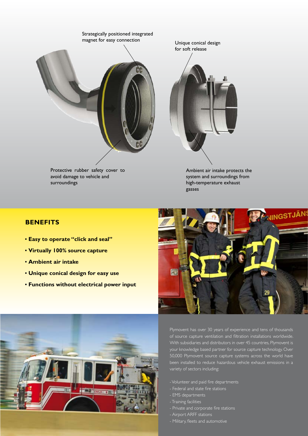

avoid damage to vehicle and surroundings



Ambient air intake protects the system and surroundings from high-temperature exhaust gasses

## **Benefits**

- **▪ Easy to operate "click and seal"**
- **▪ Virtually 100% source capture**
- **▪ Ambient air intake**
- **▪ Unique conical design for easy use**
- **▪ Functions without electrical power input**





Plymovent has over 30 years of experience and tens of thousands of source capture ventilation and filtration installations worldwide. With subsidiaries and distributors in over 45 countries, Plymovent is your knowledge based partner for source capture technology. Over 50,000 Plymovent source capture systems across the world have been installed to reduce hazardous vehicle exhaust emissions in a variety of sectors including:

- Volunteer and paid fire departments
- Federal and state fire stations
- EMS departments
- Training facilities
- Private and corporate fire stations
- Airport ARFF stations
- Military, fleets and automotive